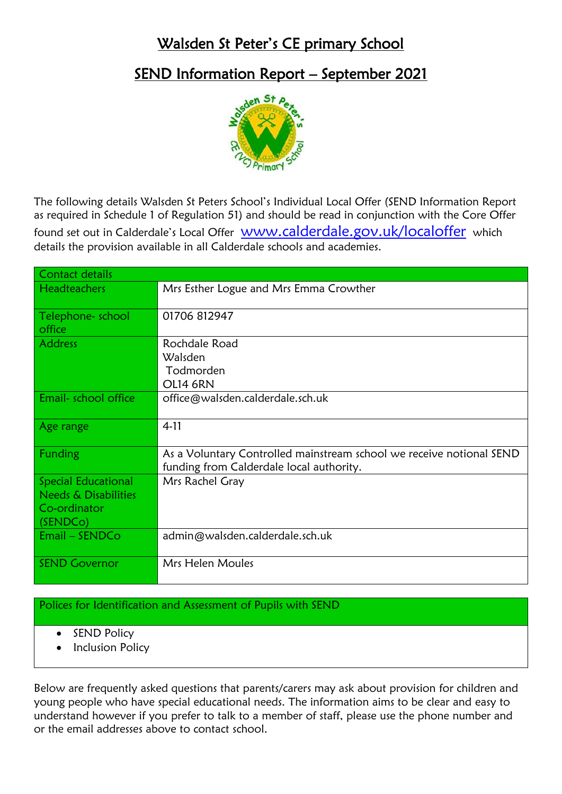## Walsden St Peter's CE primary School

## SEND Information Report – September 2021



The following details Walsden St Peters School's Individual Local Offer (SEND Information Report as required in Schedule 1 of Regulation 51) and should be read in conjunction with the Core Offer found set out in Calderdale's Local Offer **[www.calderdale.gov.uk/localoffer](http://www.calderdale.gov.uk/localoffer)** which details the provision available in all Calderdale schools and academies.

| Contact details                                                                                        |                                                                                                                  |
|--------------------------------------------------------------------------------------------------------|------------------------------------------------------------------------------------------------------------------|
| <b>Headteachers</b>                                                                                    | Mrs Esther Logue and Mrs Emma Crowther                                                                           |
| Telephone- school<br>office                                                                            | 01706 812947                                                                                                     |
| <b>Address</b>                                                                                         | Rochdale Road<br>Walsden<br>Todmorden<br><b>OL14 6RN</b>                                                         |
| Email- school office                                                                                   | office@walsden.calderdale.sch.uk                                                                                 |
| Age range                                                                                              | $4 - 11$                                                                                                         |
| Funding                                                                                                | As a Voluntary Controlled mainstream school we receive notional SEND<br>funding from Calderdale local authority. |
| <b>Special Educational</b><br><b>Needs &amp; Disabilities</b><br>Co-ordinator<br>(SENDC <sub>o</sub> ) | Mrs Rachel Gray                                                                                                  |
| $Email - SENDCo$                                                                                       | admin@walsden.calderdale.sch.uk                                                                                  |
| <b>SEND Governor</b>                                                                                   | Mrs Helen Moules                                                                                                 |

## Polices for Identification and Assessment of Pupils with SEND

- SEND Policy
- Inclusion Policy

Below are frequently asked questions that parents/carers may ask about provision for children and young people who have special educational needs. The information aims to be clear and easy to understand however if you prefer to talk to a member of staff, please use the phone number and or the email addresses above to contact school.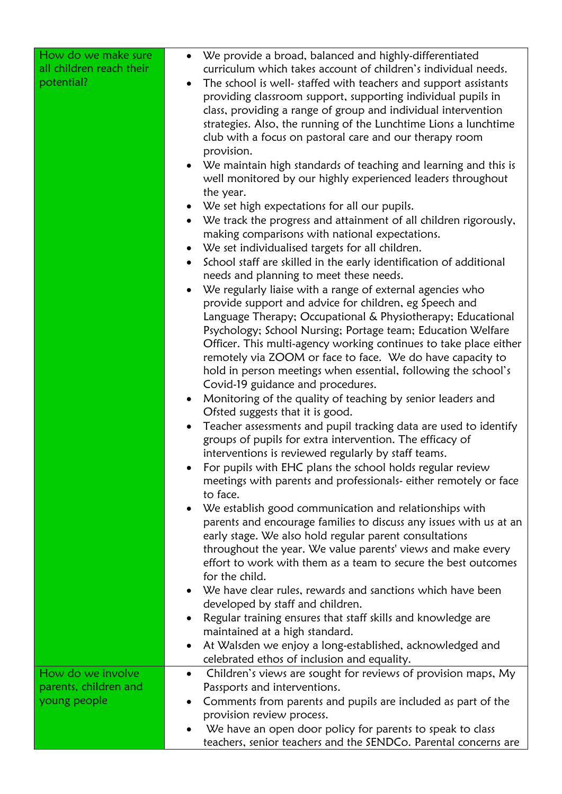| How do we make sure<br>all children reach their<br>potential? | We provide a broad, balanced and highly-differentiated<br>$\bullet$<br>curriculum which takes account of children's individual needs.<br>The school is well- staffed with teachers and support assistants<br>$\bullet$<br>providing classroom support, supporting individual pupils in<br>class, providing a range of group and individual intervention<br>strategies. Also, the running of the Lunchtime Lions a lunchtime<br>club with a focus on pastoral care and our therapy room<br>provision.<br>We maintain high standards of teaching and learning and this is<br>$\bullet$<br>well monitored by our highly experienced leaders throughout<br>the year. |
|---------------------------------------------------------------|------------------------------------------------------------------------------------------------------------------------------------------------------------------------------------------------------------------------------------------------------------------------------------------------------------------------------------------------------------------------------------------------------------------------------------------------------------------------------------------------------------------------------------------------------------------------------------------------------------------------------------------------------------------|
|                                                               | We set high expectations for all our pupils.<br>$\bullet$                                                                                                                                                                                                                                                                                                                                                                                                                                                                                                                                                                                                        |
|                                                               | We track the progress and attainment of all children rigorously,<br>$\bullet$<br>making comparisons with national expectations.                                                                                                                                                                                                                                                                                                                                                                                                                                                                                                                                  |
|                                                               | We set individualised targets for all children.<br>$\bullet$                                                                                                                                                                                                                                                                                                                                                                                                                                                                                                                                                                                                     |
|                                                               | School staff are skilled in the early identification of additional<br>$\bullet$<br>needs and planning to meet these needs.                                                                                                                                                                                                                                                                                                                                                                                                                                                                                                                                       |
|                                                               | We regularly liaise with a range of external agencies who<br>$\bullet$<br>provide support and advice for children, eg Speech and<br>Language Therapy; Occupational & Physiotherapy; Educational<br>Psychology; School Nursing; Portage team; Education Welfare<br>Officer. This multi-agency working continues to take place either<br>remotely via ZOOM or face to face. We do have capacity to<br>hold in person meetings when essential, following the school's<br>Covid-19 guidance and procedures.                                                                                                                                                          |
|                                                               | Monitoring of the quality of teaching by senior leaders and<br>$\bullet$                                                                                                                                                                                                                                                                                                                                                                                                                                                                                                                                                                                         |
|                                                               | Ofsted suggests that it is good.<br>Teacher assessments and pupil tracking data are used to identify<br>$\bullet$<br>groups of pupils for extra intervention. The efficacy of                                                                                                                                                                                                                                                                                                                                                                                                                                                                                    |
|                                                               | interventions is reviewed regularly by staff teams.<br>For pupils with EHC plans the school holds regular review<br>meetings with parents and professionals- either remotely or face<br>to face.                                                                                                                                                                                                                                                                                                                                                                                                                                                                 |
|                                                               | • We establish good communication and relationships with                                                                                                                                                                                                                                                                                                                                                                                                                                                                                                                                                                                                         |
|                                                               | parents and encourage families to discuss any issues with us at an<br>early stage. We also hold regular parent consultations                                                                                                                                                                                                                                                                                                                                                                                                                                                                                                                                     |
|                                                               | throughout the year. We value parents' views and make every<br>effort to work with them as a team to secure the best outcomes<br>for the child.                                                                                                                                                                                                                                                                                                                                                                                                                                                                                                                  |
|                                                               | We have clear rules, rewards and sanctions which have been<br>$\bullet$                                                                                                                                                                                                                                                                                                                                                                                                                                                                                                                                                                                          |
|                                                               | developed by staff and children.<br>Regular training ensures that staff skills and knowledge are<br>٠                                                                                                                                                                                                                                                                                                                                                                                                                                                                                                                                                            |
|                                                               | maintained at a high standard.                                                                                                                                                                                                                                                                                                                                                                                                                                                                                                                                                                                                                                   |
|                                                               | At Walsden we enjoy a long-established, acknowledged and<br>celebrated ethos of inclusion and equality.                                                                                                                                                                                                                                                                                                                                                                                                                                                                                                                                                          |
| How do we involve                                             | Children's views are sought for reviews of provision maps, My                                                                                                                                                                                                                                                                                                                                                                                                                                                                                                                                                                                                    |
| parents, children and                                         | Passports and interventions.                                                                                                                                                                                                                                                                                                                                                                                                                                                                                                                                                                                                                                     |
| young people                                                  | Comments from parents and pupils are included as part of the<br>٠<br>provision review process.                                                                                                                                                                                                                                                                                                                                                                                                                                                                                                                                                                   |
|                                                               | We have an open door policy for parents to speak to class<br>teachers, senior teachers and the SENDCo. Parental concerns are                                                                                                                                                                                                                                                                                                                                                                                                                                                                                                                                     |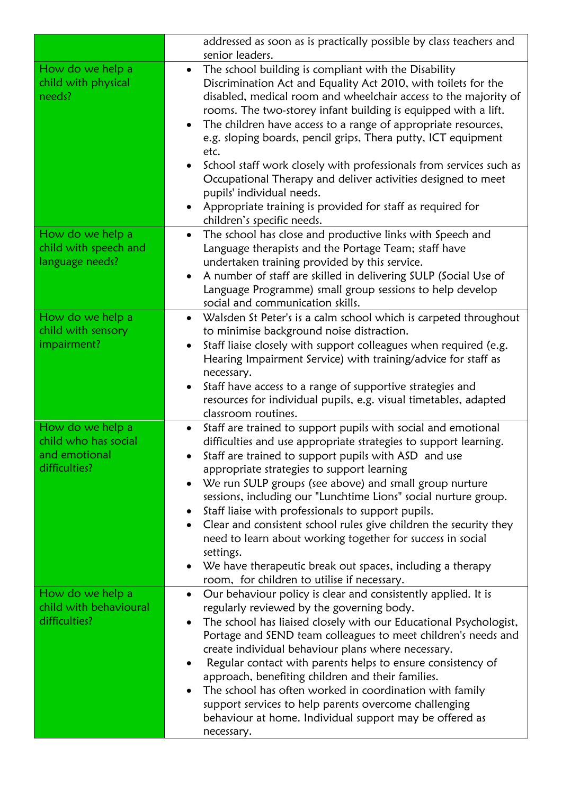|                                                                            | addressed as soon as is practically possible by class teachers and<br>senior leaders.                                                                                                                                                                                                                                                                                                                                                                                                                                                                                                                                                                                                                                         |
|----------------------------------------------------------------------------|-------------------------------------------------------------------------------------------------------------------------------------------------------------------------------------------------------------------------------------------------------------------------------------------------------------------------------------------------------------------------------------------------------------------------------------------------------------------------------------------------------------------------------------------------------------------------------------------------------------------------------------------------------------------------------------------------------------------------------|
| How do we help a<br>child with physical<br>needs?                          | The school building is compliant with the Disability<br>$\bullet$<br>Discrimination Act and Equality Act 2010, with toilets for the<br>disabled, medical room and wheelchair access to the majority of<br>rooms. The two-storey infant building is equipped with a lift.<br>The children have access to a range of appropriate resources,<br>$\bullet$<br>e.g. sloping boards, pencil grips, Thera putty, ICT equipment<br>etc.<br>School staff work closely with professionals from services such as<br>$\bullet$<br>Occupational Therapy and deliver activities designed to meet<br>pupils' individual needs.<br>Appropriate training is provided for staff as required for<br>$\bullet$<br>children's specific needs.      |
| How do we help a<br>child with speech and<br>language needs?               | The school has close and productive links with Speech and<br>$\bullet$<br>Language therapists and the Portage Team; staff have<br>undertaken training provided by this service.<br>A number of staff are skilled in delivering SULP (Social Use of<br>$\bullet$<br>Language Programme) small group sessions to help develop<br>social and communication skills.                                                                                                                                                                                                                                                                                                                                                               |
| How do we help a<br>child with sensory<br>impairment?                      | Walsden St Peter's is a calm school which is carpeted throughout<br>$\bullet$<br>to minimise background noise distraction.<br>Staff liaise closely with support colleagues when required (e.g.<br>$\bullet$<br>Hearing Impairment Service) with training/advice for staff as<br>necessary.<br>Staff have access to a range of supportive strategies and<br>$\bullet$<br>resources for individual pupils, e.g. visual timetables, adapted<br>classroom routines.                                                                                                                                                                                                                                                               |
| How do we help a<br>child who has social<br>and emotional<br>difficulties? | Staff are trained to support pupils with social and emotional<br>$\bullet$<br>difficulties and use appropriate strategies to support learning.<br>Staff are trained to support pupils with ASD and use<br>appropriate strategies to support learning<br>We run SULP groups (see above) and small group nurture<br>$\bullet$<br>sessions, including our "Lunchtime Lions" social nurture group.<br>Staff liaise with professionals to support pupils.<br>$\bullet$<br>Clear and consistent school rules give children the security they<br>need to learn about working together for success in social<br>settings.<br>We have therapeutic break out spaces, including a therapy<br>room, for children to utilise if necessary. |
| How do we help a<br>child with behavioural<br>difficulties?                | Our behaviour policy is clear and consistently applied. It is<br>$\bullet$<br>regularly reviewed by the governing body.<br>The school has liaised closely with our Educational Psychologist,<br>Portage and SEND team colleagues to meet children's needs and<br>create individual behaviour plans where necessary.<br>Regular contact with parents helps to ensure consistency of<br>$\bullet$<br>approach, benefiting children and their families.<br>The school has often worked in coordination with family<br>support services to help parents overcome challenging<br>behaviour at home. Individual support may be offered as<br>necessary.                                                                             |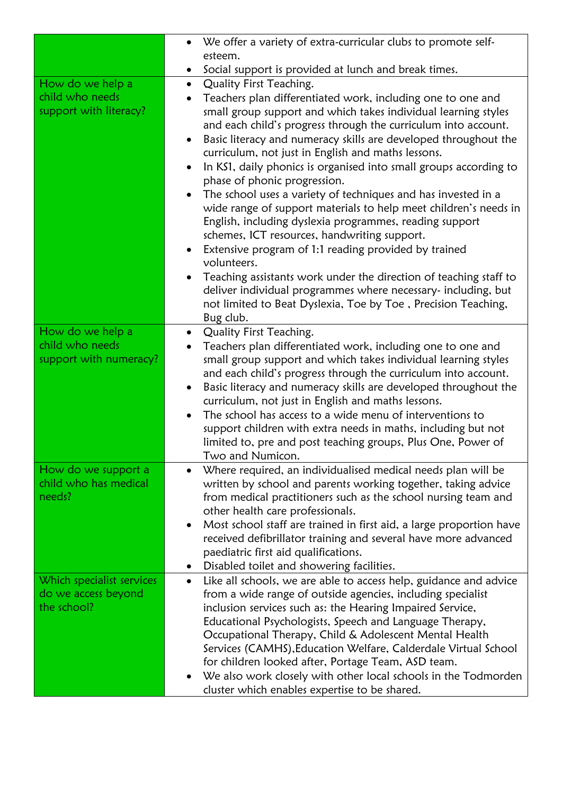|                           | We offer a variety of extra-curricular clubs to promote self-<br>$\bullet$                                                                      |
|---------------------------|-------------------------------------------------------------------------------------------------------------------------------------------------|
|                           | esteem.                                                                                                                                         |
|                           | Social support is provided at lunch and break times.<br>$\bullet$                                                                               |
| How do we help a          | Quality First Teaching.<br>$\bullet$                                                                                                            |
| child who needs           | Teachers plan differentiated work, including one to one and                                                                                     |
| support with literacy?    | small group support and which takes individual learning styles                                                                                  |
|                           | and each child's progress through the curriculum into account.                                                                                  |
|                           | Basic literacy and numeracy skills are developed throughout the<br>$\bullet$                                                                    |
|                           | curriculum, not just in English and maths lessons.                                                                                              |
|                           | In KS1, daily phonics is organised into small groups according to<br>$\bullet$                                                                  |
|                           | phase of phonic progression.                                                                                                                    |
|                           | The school uses a variety of techniques and has invested in a<br>$\bullet$                                                                      |
|                           | wide range of support materials to help meet children's needs in                                                                                |
|                           | English, including dyslexia programmes, reading support                                                                                         |
|                           | schemes, ICT resources, handwriting support.                                                                                                    |
|                           | Extensive program of 1:1 reading provided by trained<br>$\bullet$                                                                               |
|                           | volunteers.                                                                                                                                     |
|                           | Teaching assistants work under the direction of teaching staff to<br>$\bullet$<br>deliver individual programmes where necessary- including, but |
|                           | not limited to Beat Dyslexia, Toe by Toe, Precision Teaching,                                                                                   |
|                           | Bug club.                                                                                                                                       |
| How do we help a          | Quality First Teaching.<br>$\bullet$                                                                                                            |
| child who needs           | Teachers plan differentiated work, including one to one and                                                                                     |
| support with numeracy?    | small group support and which takes individual learning styles                                                                                  |
|                           | and each child's progress through the curriculum into account.                                                                                  |
|                           | Basic literacy and numeracy skills are developed throughout the<br>$\bullet$                                                                    |
|                           | curriculum, not just in English and maths lessons.                                                                                              |
|                           | The school has access to a wide menu of interventions to<br>$\bullet$                                                                           |
|                           | support children with extra needs in maths, including but not                                                                                   |
|                           | limited to, pre and post teaching groups, Plus One, Power of                                                                                    |
|                           | Two and Numicon.                                                                                                                                |
| How do we support a       | Where required, an individualised medical needs plan will be<br>$\bullet$                                                                       |
| child who has medical     | written by school and parents working together, taking advice                                                                                   |
| needs?                    | from medical practitioners such as the school nursing team and                                                                                  |
|                           | other health care professionals.                                                                                                                |
|                           | Most school staff are trained in first aid, a large proportion have<br>$\bullet$                                                                |
|                           | received defibrillator training and several have more advanced<br>paediatric first aid qualifications.                                          |
|                           | Disabled toilet and showering facilities.                                                                                                       |
| Which specialist services | Like all schools, we are able to access help, guidance and advice<br>$\bullet$                                                                  |
| do we access beyond       | from a wide range of outside agencies, including specialist                                                                                     |
| the school?               | inclusion services such as: the Hearing Impaired Service,                                                                                       |
|                           | Educational Psychologists, Speech and Language Therapy,                                                                                         |
|                           | Occupational Therapy, Child & Adolescent Mental Health                                                                                          |
|                           | Services (CAMHS), Education Welfare, Calderdale Virtual School                                                                                  |
|                           | for children looked after, Portage Team, ASD team.                                                                                              |
|                           | We also work closely with other local schools in the Todmorden<br>$\bullet$                                                                     |
|                           | cluster which enables expertise to be shared.                                                                                                   |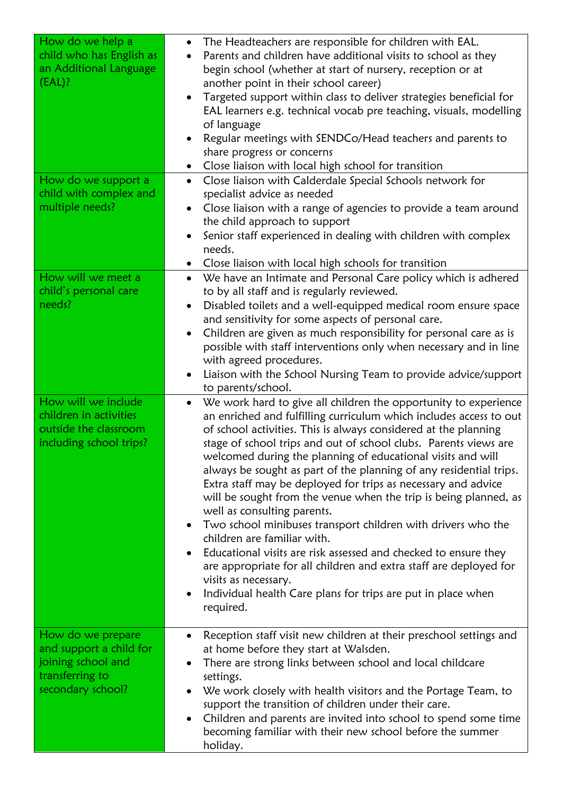| How do we help a<br>child who has English as<br>an Additional Language<br>(EAL)?                  | The Headteachers are responsible for children with EAL.<br>$\bullet$<br>Parents and children have additional visits to school as they<br>begin school (whether at start of nursery, reception or at<br>another point in their school career)<br>Targeted support within class to deliver strategies beneficial for<br>$\bullet$<br>EAL learners e.g. technical vocab pre teaching, visuals, modelling<br>of language<br>Regular meetings with SENDCo/Head teachers and parents to<br>share progress or concerns<br>Close liaison with local high school for transition                                                                                                                                                                                                                                                                                                                                                                                                                                      |
|---------------------------------------------------------------------------------------------------|-------------------------------------------------------------------------------------------------------------------------------------------------------------------------------------------------------------------------------------------------------------------------------------------------------------------------------------------------------------------------------------------------------------------------------------------------------------------------------------------------------------------------------------------------------------------------------------------------------------------------------------------------------------------------------------------------------------------------------------------------------------------------------------------------------------------------------------------------------------------------------------------------------------------------------------------------------------------------------------------------------------|
| How do we support a                                                                               | Close liaison with Calderdale Special Schools network for<br>$\bullet$                                                                                                                                                                                                                                                                                                                                                                                                                                                                                                                                                                                                                                                                                                                                                                                                                                                                                                                                      |
| child with complex and<br>multiple needs?                                                         | specialist advice as needed<br>Close liaison with a range of agencies to provide a team around<br>$\bullet$                                                                                                                                                                                                                                                                                                                                                                                                                                                                                                                                                                                                                                                                                                                                                                                                                                                                                                 |
|                                                                                                   | the child approach to support                                                                                                                                                                                                                                                                                                                                                                                                                                                                                                                                                                                                                                                                                                                                                                                                                                                                                                                                                                               |
|                                                                                                   | Senior staff experienced in dealing with children with complex<br>$\bullet$                                                                                                                                                                                                                                                                                                                                                                                                                                                                                                                                                                                                                                                                                                                                                                                                                                                                                                                                 |
|                                                                                                   | needs.                                                                                                                                                                                                                                                                                                                                                                                                                                                                                                                                                                                                                                                                                                                                                                                                                                                                                                                                                                                                      |
| How will we meet a                                                                                | Close liaison with local high schools for transition<br>$\bullet$<br>We have an Intimate and Personal Care policy which is adhered<br>$\bullet$                                                                                                                                                                                                                                                                                                                                                                                                                                                                                                                                                                                                                                                                                                                                                                                                                                                             |
| child's personal care                                                                             | to by all staff and is regularly reviewed.                                                                                                                                                                                                                                                                                                                                                                                                                                                                                                                                                                                                                                                                                                                                                                                                                                                                                                                                                                  |
| needs?                                                                                            | Disabled toilets and a well-equipped medical room ensure space<br>$\bullet$                                                                                                                                                                                                                                                                                                                                                                                                                                                                                                                                                                                                                                                                                                                                                                                                                                                                                                                                 |
|                                                                                                   | and sensitivity for some aspects of personal care.<br>Children are given as much responsibility for personal care as is<br>$\bullet$                                                                                                                                                                                                                                                                                                                                                                                                                                                                                                                                                                                                                                                                                                                                                                                                                                                                        |
|                                                                                                   | possible with staff interventions only when necessary and in line                                                                                                                                                                                                                                                                                                                                                                                                                                                                                                                                                                                                                                                                                                                                                                                                                                                                                                                                           |
|                                                                                                   | with agreed procedures.                                                                                                                                                                                                                                                                                                                                                                                                                                                                                                                                                                                                                                                                                                                                                                                                                                                                                                                                                                                     |
|                                                                                                   | Liaison with the School Nursing Team to provide advice/support<br>$\bullet$                                                                                                                                                                                                                                                                                                                                                                                                                                                                                                                                                                                                                                                                                                                                                                                                                                                                                                                                 |
| How will we include<br>children in activities<br>outside the classroom<br>including school trips? | to parents/school.<br>We work hard to give all children the opportunity to experience<br>$\bullet$<br>an enriched and fulfilling curriculum which includes access to out<br>of school activities. This is always considered at the planning<br>stage of school trips and out of school clubs. Parents views are<br>welcomed during the planning of educational visits and will<br>always be sought as part of the planning of any residential trips.<br>Extra staff may be deployed for trips as necessary and advice<br>will be sought from the venue when the trip is being planned, as<br>well as consulting parents.<br>Two school minibuses transport children with drivers who the<br>$\bullet$<br>children are familiar with.<br>Educational visits are risk assessed and checked to ensure they<br>$\bullet$<br>are appropriate for all children and extra staff are deployed for<br>visits as necessary.<br>Individual health Care plans for trips are put in place when<br>$\bullet$<br>required. |
| How do we prepare                                                                                 | Reception staff visit new children at their preschool settings and<br>٠                                                                                                                                                                                                                                                                                                                                                                                                                                                                                                                                                                                                                                                                                                                                                                                                                                                                                                                                     |
| and support a child for<br>joining school and                                                     | at home before they start at Walsden.<br>There are strong links between school and local childcare                                                                                                                                                                                                                                                                                                                                                                                                                                                                                                                                                                                                                                                                                                                                                                                                                                                                                                          |
| transferring to                                                                                   | settings.                                                                                                                                                                                                                                                                                                                                                                                                                                                                                                                                                                                                                                                                                                                                                                                                                                                                                                                                                                                                   |
| secondary school?                                                                                 | We work closely with health visitors and the Portage Team, to                                                                                                                                                                                                                                                                                                                                                                                                                                                                                                                                                                                                                                                                                                                                                                                                                                                                                                                                               |
|                                                                                                   | support the transition of children under their care.<br>Children and parents are invited into school to spend some time<br>$\bullet$                                                                                                                                                                                                                                                                                                                                                                                                                                                                                                                                                                                                                                                                                                                                                                                                                                                                        |
|                                                                                                   | becoming familiar with their new school before the summer<br>holiday.                                                                                                                                                                                                                                                                                                                                                                                                                                                                                                                                                                                                                                                                                                                                                                                                                                                                                                                                       |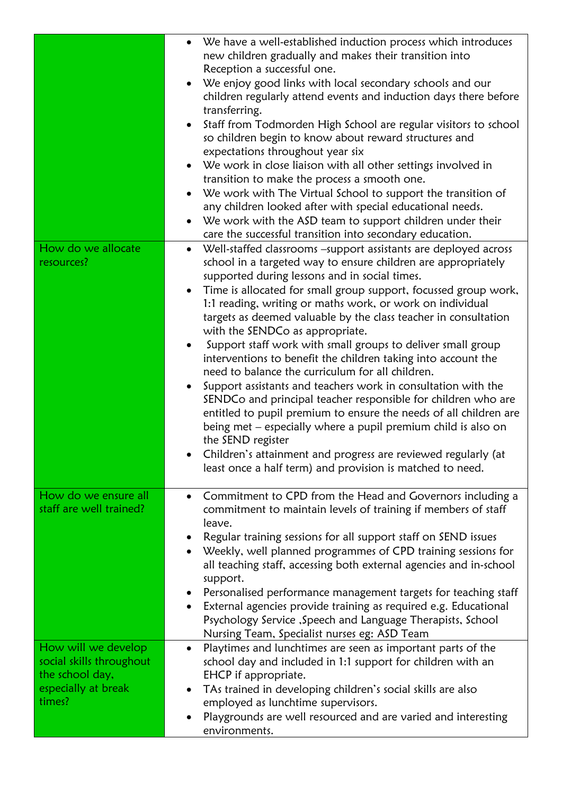|                                                                                                     | We have a well-established induction process which introduces<br>new children gradually and makes their transition into<br>Reception a successful one.<br>We enjoy good links with local secondary schools and our<br>$\bullet$<br>children regularly attend events and induction days there before<br>transferring.<br>Staff from Todmorden High School are regular visitors to school<br>$\bullet$<br>so children begin to know about reward structures and<br>expectations throughout year six<br>We work in close liaison with all other settings involved in<br>$\bullet$<br>transition to make the process a smooth one.<br>We work with The Virtual School to support the transition of<br>any children looked after with special educational needs.<br>We work with the ASD team to support children under their<br>care the successful transition into secondary education.                                                                                                                                                                |
|-----------------------------------------------------------------------------------------------------|-----------------------------------------------------------------------------------------------------------------------------------------------------------------------------------------------------------------------------------------------------------------------------------------------------------------------------------------------------------------------------------------------------------------------------------------------------------------------------------------------------------------------------------------------------------------------------------------------------------------------------------------------------------------------------------------------------------------------------------------------------------------------------------------------------------------------------------------------------------------------------------------------------------------------------------------------------------------------------------------------------------------------------------------------------|
| How do we allocate<br>resources?                                                                    | Well-staffed classrooms -support assistants are deployed across<br>school in a targeted way to ensure children are appropriately<br>supported during lessons and in social times.<br>Time is allocated for small group support, focussed group work,<br>$\bullet$<br>1:1 reading, writing or maths work, or work on individual<br>targets as deemed valuable by the class teacher in consultation<br>with the SENDCo as appropriate.<br>Support staff work with small groups to deliver small group<br>interventions to benefit the children taking into account the<br>need to balance the curriculum for all children.<br>Support assistants and teachers work in consultation with the<br>SENDCo and principal teacher responsible for children who are<br>entitled to pupil premium to ensure the needs of all children are<br>being met – especially where a pupil premium child is also on<br>the SEND register<br>Children's attainment and progress are reviewed regularly (at<br>least once a half term) and provision is matched to need. |
| How do we ensure all<br>staff are well trained?                                                     | Commitment to CPD from the Head and Governors including a<br>$\bullet$<br>commitment to maintain levels of training if members of staff<br>leave.<br>Regular training sessions for all support staff on SEND issues<br>Weekly, well planned programmes of CPD training sessions for<br>all teaching staff, accessing both external agencies and in-school<br>support.<br>Personalised performance management targets for teaching staff<br>$\bullet$<br>External agencies provide training as required e.g. Educational<br>$\bullet$<br>Psychology Service , Speech and Language Therapists, School<br>Nursing Team, Specialist nurses eg: ASD Team                                                                                                                                                                                                                                                                                                                                                                                                 |
| How will we develop<br>social skills throughout<br>the school day,<br>especially at break<br>times? | Playtimes and lunchtimes are seen as important parts of the<br>$\bullet$<br>school day and included in 1:1 support for children with an<br>EHCP if appropriate.<br>TAs trained in developing children's social skills are also<br>$\bullet$<br>employed as lunchtime supervisors.<br>Playgrounds are well resourced and are varied and interesting<br>environments.                                                                                                                                                                                                                                                                                                                                                                                                                                                                                                                                                                                                                                                                                 |